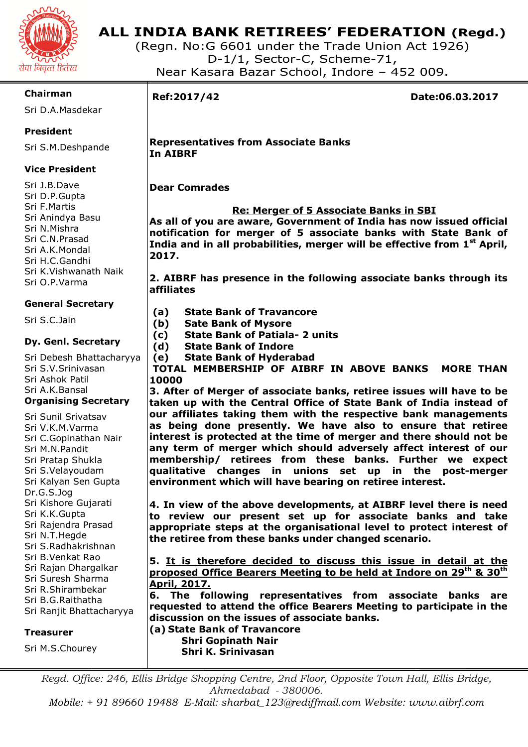

# **ALL INDIA BANK RETIREES' FEDERATION (Regd.)**

(Regn. No:G 6601 under the Trade Union Act 1926) D-1/1, Sector-C, Scheme-71, Near Kasara Bazar School, Indore – 452 009.

### **Chairman**

Sri D.A.Masdekar

# **President**

Sri S.M.Deshpande

# **Vice President**

Sri J.B.Dave Sri D.P.Gupta Sri F.Martis Sri Anindya Basu Sri N.Mishra Sri C.N.Prasad Sri A.K.Mondal Sri H.C.Gandhi Sri K.Vishwanath Naik Sri O.P.Varma

# **General Secretary**

Sri S.C.Jain

#### **Dy. Genl. Secretary**

Sri Debesh Bhattacharyya Sri S.V.Srinivasan Sri Ashok Patil Sri A.K.Bansal **Organising Secretary** 

Sri Sunil Srivatsav Sri V.K.M.Varma Sri C.Gopinathan Nair Sri M.N.Pandit Sri Pratap Shukla Sri S.Velayoudam Sri Kalyan Sen Gupta Dr.G.S.Jog Sri Kishore Gujarati Sri K.K.Gupta Sri Rajendra Prasad Sri N.T.Hegde Sri S.Radhakrishnan Sri B.Venkat Rao Sri Rajan Dhargalkar Sri Suresh Sharma Sri R.Shirambekar Sri B.G.Raithatha Sri Ranjit Bhattacharyya

#### **Treasurer**

Sri M.S.Chourey

I

**Ref:2017/42 Date:06.03.2017** 

#### **Representatives from Associate Banks In AIBRF**

**Dear Comrades** 

# **Re: Merger of 5 Associate Banks in SBI**

**As all of you are aware, Government of India has now issued official notification for merger of 5 associate banks with State Bank of India and in all probabilities, merger will be effective from 1st April, 2017.** 

**2. AIBRF has presence in the following associate banks through its affiliates** 

- **(a) State Bank of Travancore**
- **(b) Sate Bank of Mysore**
- **(c) State Bank of Patiala- 2 units**
- **(d) State Bank of Indore**
- **(e) State Bank of Hyderabad**

**TOTAL MEMBERSHIP OF AIBRF IN ABOVE BANKS MORE THAN 10000** 

**3. After of Merger of associate banks, retiree issues will have to be taken up with the Central Office of State Bank of India instead of our affiliates taking them with the respective bank managements as being done presently. We have also to ensure that retiree interest is protected at the time of merger and there should not be any term of merger which should adversely affect interest of our membership/ retirees from these banks. Further we expect qualitative changes in unions set up in the post-merger environment which will have bearing on retiree interest.** 

**4. In view of the above developments, at AIBRF level there is need to review our present set up for associate banks and take appropriate steps at the organisational level to protect interest of the retiree from these banks under changed scenario.** 

**5. It is therefore decided to discuss this issue in detail at the proposed Office Bearers Meeting to be held at Indore on 29th & 30th April, 2017.** 

**6. The following representatives from associate banks are requested to attend the office Bearers Meeting to participate in the discussion on the issues of associate banks.** 

**(a) State Bank of Travancore Shri Gopinath Nair Shri K. Srinivasan** 

Regd. Office: 246, Ellis Bridge Shopping Centre, 2nd Floor, Opposite Town Hall, Ellis Bridge, *Ahmedabad - 380006.* 

*Mobile: + 91 89660 19488 E-Mail: sharbat\_123@rediffmail.com Website: www.aibrf.com*